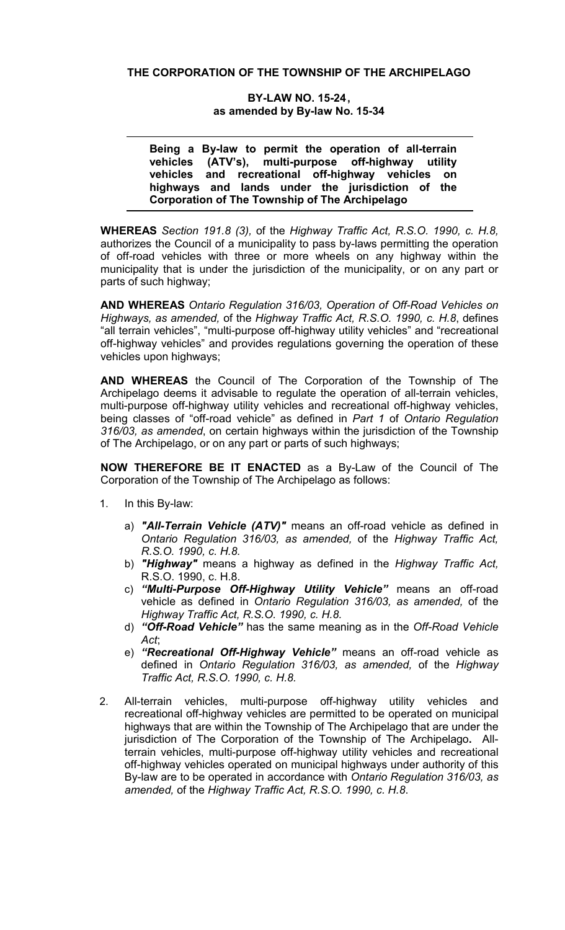BY-LAW NO. 15-24, as amended by By-law No. 15-34

Being a By-law to permit the operation of all-terrain vehicles (ATV's), multi-purpose off-highway utility vehicles and recreational off-highway vehicles on highways and lands under the jurisdiction of the Corporation of The Township of The Archipelago

WHEREAS *Section 191.8 (3),* of the *Highway Traffic Act, R.S.O. 1990, c. H.8,*  authorizes the Council of a municipality to pass by-laws permitting the operation of off-road vehicles with three or more wheels on any highway within the municipality that is under the jurisdiction of the municipality, or on any part or parts of such highway;

AND WHEREAS *Ontario Regulation 316/03, Operation of Off-Road Vehicles on Highways, as amended,* of the *Highway Traffic Act, R.S.O. 1990, c. H.8*, defines "all terrain vehicles", "multi-purpose off-highway utility vehicles" and "recreational off-highway vehicles" and provides regulations governing the operation of these vehicles upon highways;

AND WHEREAS the Council of The Corporation of the Township of The Archipelago deems it advisable to regulate the operation of all-terrain vehicles, multi-purpose off-highway utility vehicles and recreational off-highway vehicles, being classes of "off-road vehicle" as defined in *Part 1* of *Ontario Regulation 316/03, as amended*, on certain highways within the jurisdiction of the Township of The Archipelago, or on any part or parts of such highways;

NOW THEREFORE BE IT ENACTED as a By-Law of the Council of The Corporation of the Township of The Archipelago as follows:

- 1. In this By-law:
	- a) *"All-Terrain Vehicle (ATV)"* means an off-road vehicle as defined in *Ontario Regulation 316/03, as amended,* of the *Highway Traffic Act, R.S.O. 1990, c. H.8.*
	- b) *"Highway"* means a highway as defined in the *Highway Traffic Act,* R.S.O. 1990, c. H.8.
	- c) *"Multi-Purpose Off-Highway Utility Vehicle"* means an off-road vehicle as defined in *Ontario Regulation 316/03, as amended,* of the *Highway Traffic Act, R.S.O. 1990, c. H.8.*
	- d) *"Off-Road Vehicle"* has the same meaning as in the *Off-Road Vehicle Act*;
	- e) *"Recreational Off-Highway Vehicle"* means an off-road vehicle as defined in *Ontario Regulation 316/03, as amended,* of the *Highway Traffic Act, R.S.O. 1990, c. H.8.*
- 2. All-terrain vehicles, multi-purpose off-highway utility vehicles and recreational off-highway vehicles are permitted to be operated on municipal highways that are within the Township of The Archipelago that are under the jurisdiction of The Corporation of the Township of The Archipelago. Allterrain vehicles, multi-purpose off-highway utility vehicles and recreational off-highway vehicles operated on municipal highways under authority of this By-law are to be operated in accordance with *Ontario Regulation 316/03, as amended,* of the *Highway Traffic Act, R.S.O. 1990, c. H.8*.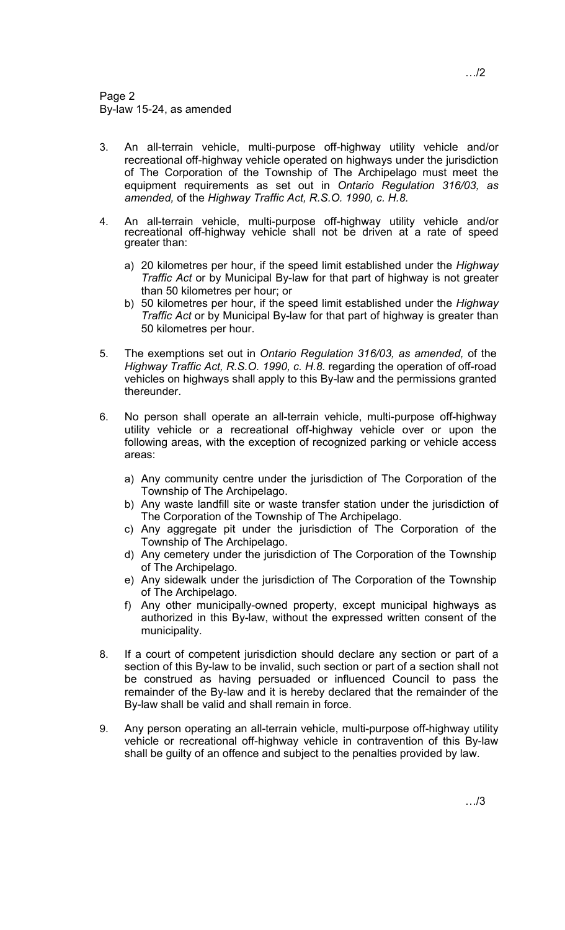- 3. An all-terrain vehicle, multi-purpose off-highway utility vehicle and/or recreational off-highway vehicle operated on highways under the jurisdiction of The Corporation of the Township of The Archipelago must meet the equipment requirements as set out in *Ontario Regulation 316/03, as amended,* of the *Highway Traffic Act, R.S.O. 1990, c. H.8.*
- 4. An all-terrain vehicle, multi-purpose off-highway utility vehicle and/or recreational off-highway vehicle shall not be driven at a rate of speed greater than:
	- a) 20 kilometres per hour, if the speed limit established under the *Highway Traffic Act* or by Municipal By-law for that part of highway is not greater than 50 kilometres per hour; or
	- b) 50 kilometres per hour, if the speed limit established under the *Highway Traffic Act* or by Municipal By-law for that part of highway is greater than 50 kilometres per hour.
- 5. The exemptions set out in *Ontario Regulation 316/03, as amended,* of the *Highway Traffic Act, R.S.O. 1990, c. H.8.* regarding the operation of off-road vehicles on highways shall apply to this By-law and the permissions granted thereunder.
- 6. No person shall operate an all-terrain vehicle, multi-purpose off-highway utility vehicle or a recreational off-highway vehicle over or upon the following areas, with the exception of recognized parking or vehicle access areas:
	- a) Any community centre under the jurisdiction of The Corporation of the Township of The Archipelago.
	- b) Any waste landfill site or waste transfer station under the jurisdiction of The Corporation of the Township of The Archipelago.
	- c) Any aggregate pit under the jurisdiction of The Corporation of the Township of The Archipelago.
	- d) Any cemetery under the jurisdiction of The Corporation of the Township of The Archipelago.
	- e) Any sidewalk under the jurisdiction of The Corporation of the Township of The Archipelago.
	- f) Any other municipally-owned property, except municipal highways as authorized in this By-law, without the expressed written consent of the municipality.
- 8. If a court of competent jurisdiction should declare any section or part of a section of this By-law to be invalid, such section or part of a section shall not be construed as having persuaded or influenced Council to pass the remainder of the By-law and it is hereby declared that the remainder of the By-law shall be valid and shall remain in force.
- 9. Any person operating an all-terrain vehicle, multi-purpose off-highway utility vehicle or recreational off-highway vehicle in contravention of this By-law shall be guilty of an offence and subject to the penalties provided by law.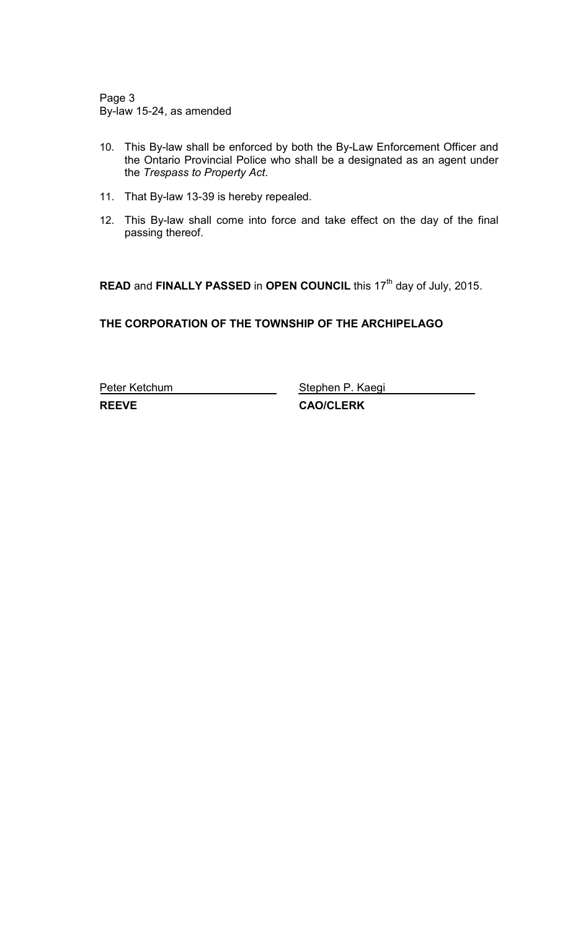Page 3 By-law 15-24, as amended

- 10. This By-law shall be enforced by both the By-Law Enforcement Officer and the Ontario Provincial Police who shall be a designated as an agent under the *Trespass to Property Act*.
- 11. That By-law 13-39 is hereby repealed.
- 12. This By-law shall come into force and take effect on the day of the final passing thereof.

READ and FINALLY PASSED in OPEN COUNCIL this 17<sup>th</sup> day of July, 2015.

THE CORPORATION OF THE TOWNSHIP OF THE ARCHIPELAGO

Peter Ketchum Stephen P. Kaegi REEVE CAO/CLERK